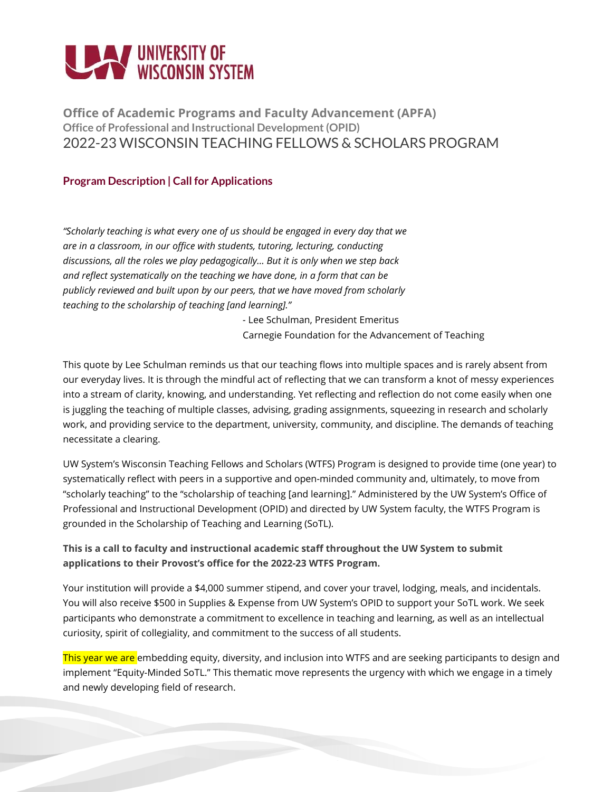# **THE UNIVERSITY OF WISCONSIN SYSTEM**

**Office of Academic Programs and Faculty Advancement (APFA) Office of Professional and Instructional Development (OPID)** 2022-23 WISCONSIN TEACHING FELLOWS & SCHOLARS PROGRAM

# **Program Description | Call for Applications**

*"Scholarly teaching is what every one of us should be engaged in every day that we are in a classroom, in our office with students, tutoring, lecturing, conducting discussions, all the roles we play pedagogically… But it is only when we step back and reflect systematically on the teaching we have done, in a form that can be publicly reviewed and built upon by our peers, that we have moved from scholarly teaching to the scholarship of teaching [and learning]."*

> *-* Lee Schulman, President Emeritus Carnegie Foundation for the Advancement of Teaching

This quote by Lee Schulman reminds us that our teaching flows into multiple spaces and is rarely absent from our everyday lives. It is through the mindful act of reflecting that we can transform a knot of messy experiences into a stream of clarity, knowing, and understanding. Yet reflecting and reflection do not come easily when one is juggling the teaching of multiple classes, advising, grading assignments, squeezing in research and scholarly work, and providing service to the department, university, community, and discipline. The demands of teaching necessitate a clearing.

UW System's Wisconsin Teaching Fellows and Scholars (WTFS) Program is designed to provide time (one year) to systematically reflect with peers in a supportive and open-minded community and, ultimately, to move from "scholarly teaching" to the "scholarship of teaching [and learning]." Administered by the UW System's Office of Professional and Instructional Development (OPID) and directed by UW System faculty, the WTFS Program is grounded in the Scholarship of Teaching and Learning (SoTL).

# **This is a call to faculty and instructional academic staff throughout the UW System to submit applications to their Provost's office for the 2022-23 WTFS Program.**

Your institution will provide a \$4,000 summer stipend, and cover your travel, lodging, meals, and incidentals. You will also receive \$500 in Supplies & Expense from UW System's OPID to support your SoTL work. We seek participants who demonstrate a commitment to excellence in teaching and learning, as well as an intellectual curiosity, spirit of collegiality, and commitment to the success of all students.

This year we are embedding equity, diversity, and inclusion into WTFS and are seeking participants to design and implement "Equity-Minded SoTL." This thematic move represents the urgency with which we engage in a timely and newly developing field of research.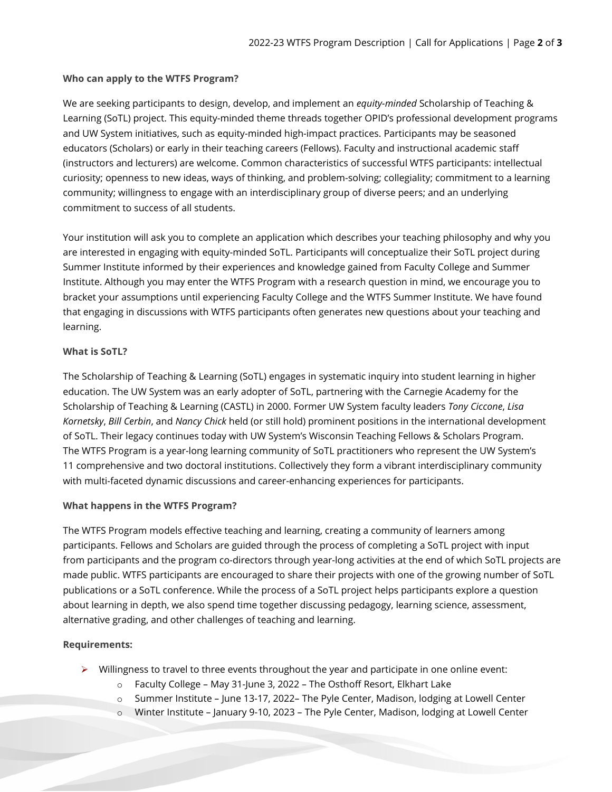#### **Who can apply to the WTFS Program?**

We are seeking participants to design, develop, and implement an *equity-minded* Scholarship of Teaching & Learning (SoTL) project. This equity-minded theme threads together OPID's professional development programs and UW System initiatives, such as equity-minded high-impact practices. Participants may be seasoned educators (Scholars) or early in their teaching careers (Fellows). Faculty and instructional academic staff (instructors and lecturers) are welcome. Common characteristics of successful WTFS participants: intellectual curiosity; openness to new ideas, ways of thinking, and problem-solving; collegiality; commitment to a learning community; willingness to engage with an interdisciplinary group of diverse peers; and an underlying commitment to success of all students.

Your institution will ask you to complete an application which describes your teaching philosophy and why you are interested in engaging with equity-minded SoTL. Participants will conceptualize their SoTL project during Summer Institute informed by their experiences and knowledge gained from Faculty College and Summer Institute. Although you may enter the WTFS Program with a research question in mind, we encourage you to bracket your assumptions until experiencing Faculty College and the WTFS Summer Institute. We have found that engaging in discussions with WTFS participants often generates new questions about your teaching and learning.

### **What is SoTL?**

The Scholarship of Teaching & Learning (SoTL) engages in systematic inquiry into student learning in higher education. The UW System was an early adopter of SoTL, partnering with the Carnegie Academy for the Scholarship of Teaching & Learning (CASTL) in 2000. Former UW System faculty leaders *Tony Ciccone*, *Lisa Kornetsky*, *Bill Cerbin*, and *Nancy Chick* held (or still hold) prominent positions in the international development of SoTL. Their legacy continues today with UW System's Wisconsin Teaching Fellows & Scholars Program. The WTFS Program is a year-long learning community of SoTL practitioners who represent the UW System's 11 comprehensive and two doctoral institutions. Collectively they form a vibrant interdisciplinary community with multi-faceted dynamic discussions and career-enhancing experiences for participants.

# **What happens in the WTFS Program?**

The WTFS Program models effective teaching and learning, creating a community of learners among participants. Fellows and Scholars are guided through the process of completing a SoTL project with input from participants and the program co-directors through year-long activities at the end of which SoTL projects are made public. WTFS participants are encouraged to share their projects with one of the growing number of SoTL publications or a SoTL conference. While the process of a SoTL project helps participants explore a question about learning in depth, we also spend time together discussing pedagogy, learning science, assessment, alternative grading, and other challenges of teaching and learning.

# **Requirements:**

- $\triangleright$  Willingness to travel to three events throughout the year and participate in one online event:
	- o Faculty College May 31-June 3, 2022 The Osthoff Resort, Elkhart Lake
	- o Summer Institute June 13-17, 2022– The Pyle Center, Madison, lodging at Lowell Center
	- o Winter Institute January 9-10, 2023 The Pyle Center, Madison, lodging at Lowell Center